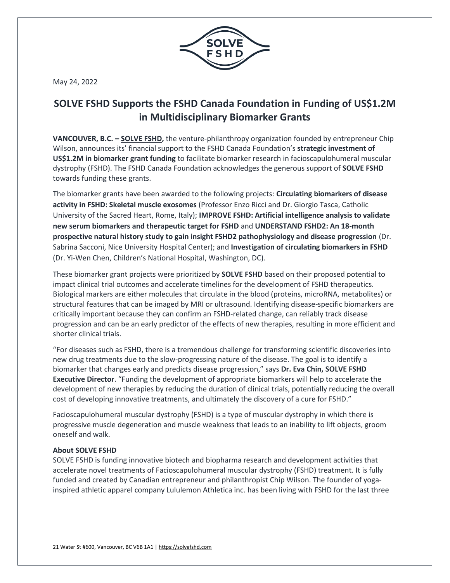

May 24, 2022

## **SOLVE FSHD Supports the FSHD Canada Foundation in Funding of US\$1.2M in Multidisciplinary Biomarker Grants**

**VANCOUVER, B.C. – [SOLVE FSHD,](https://solvefshd.com/)** the venture-philanthropy organization founded by entrepreneur Chip Wilson, announces its' financial support to the FSHD Canada Foundation's **strategic investment of US\$1.2M in biomarker grant funding** to facilitate biomarker research in facioscapulohumeral muscular dystrophy (FSHD). The FSHD Canada Foundation acknowledges the generous support of **SOLVE FSHD** towards funding these grants.

The biomarker grants have been awarded to the following projects: **Circulating biomarkers of disease activity in FSHD: Skeletal muscle exosomes** (Professor Enzo Ricci and Dr. Giorgio Tasca, Catholic University of the Sacred Heart, Rome, Italy); **IMPROVE FSHD: Artificial intelligence analysis to validate new serum biomarkers and therapeutic target for FSHD** and **UNDERSTAND FSHD2: An 18-month prospective natural history study to gain insight FSHD2 pathophysiology and disease progression** (Dr. Sabrina Sacconi, Nice University Hospital Center); and **Investigation of circulating biomarkers in FSHD** (Dr. Yi-Wen Chen, Children's National Hospital, Washington, DC).

These biomarker grant projects were prioritized by **SOLVE FSHD** based on their proposed potential to impact clinical trial outcomes and accelerate timelines for the development of FSHD therapeutics. Biological markers are either molecules that circulate in the blood (proteins, microRNA, metabolites) or structural features that can be imaged by MRI or ultrasound. Identifying disease-specific biomarkers are critically important because they can confirm an FSHD-related change, can reliably track disease progression and can be an early predictor of the effects of new therapies, resulting in more efficient and shorter clinical trials.

"For diseases such as FSHD, there is a tremendous challenge for transforming scientific discoveries into new drug treatments due to the slow-progressing nature of the disease. The goal is to identify a biomarker that changes early and predicts disease progression," says **Dr. Eva Chin, SOLVE FSHD Executive Director**. "Funding the development of appropriate biomarkers will help to accelerate the development of new therapies by reducing the duration of clinical trials, potentially reducing the overall cost of developing innovative treatments, and ultimately the discovery of a cure for FSHD."

Facioscapulohumeral muscular dystrophy (FSHD) is a type of muscular dystrophy in which there is progressive muscle degeneration and muscle weakness that leads to an inability to lift objects, groom oneself and walk.

## **About SOLVE FSHD**

SOLVE FSHD is funding innovative biotech and biopharma research and development activities that accelerate novel treatments of Facioscapulohumeral muscular dystrophy (FSHD) treatment. It is fully funded and created by Canadian entrepreneur and philanthropist Chip Wilson. The founder of yogainspired athletic apparel company Lululemon Athletica inc. has been living with FSHD for the last three